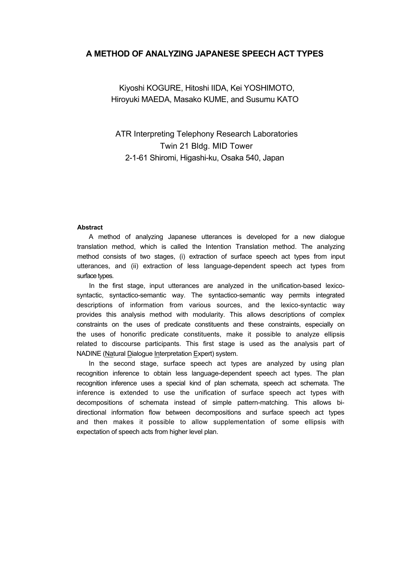# **A METHOD OF ANALYZING JAPANESE SPEECH ACT TYPES**

Kiyoshi KOGURE, Hitoshi IIDA, Kei YOSHIMOTO, Hiroyuki MAEDA, Masako KUME, and Susumu KATO

ATR Interpreting Telephony Research Laboratories Twin 21 Bldg. MID Tower 2-1-61 Shiromi, Higashi-ku, Osaka 540, Japan

### **Abstract**

A method of analyzing Japanese utterances is developed for a new dialogue translation method, which is called the Intention Translation method. The analyzing method consists of two stages, (i) extraction of surface speech act types from input utterances, and (ii) extraction of less language-dependent speech act types from surface types.

In the first stage, input utterances are analyzed in the unification-based lexicosyntactic, syntactico-semantic way. The syntactico-semantic way permits integrated descriptions of information from various sources, and the lexico-syntactic way provides this analysis method with modularity. This allows descriptions of complex constraints on the uses of predicate constituents and these constraints, especially on the uses of honorific predicate constituents, make it possible to analyze ellipsis related to discourse participants. This first stage is used as the analysis part of NADINE (Natural Dialogue Interpretation Expert) system.

In the second stage, surface speech act types are analyzed by using plan recognition inference to obtain less language-dependent speech act types. The plan recognition inference uses a special kind of plan schemata, speech act schemata. The inference is extended to use the unification of surface speech act types with decompositions of schemata instead of simple pattern-matching. This allows bidirectional information flow between decompositions and surface speech act types and then makes it possible to allow supplementation of some ellipsis with expectation of speech acts from higher level plan.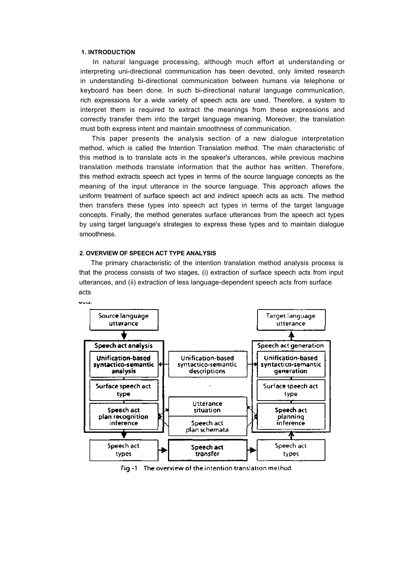### **1. INTRODUCTION**

In natural language processing, although much effort at understanding or interpreting uni-directional communication has been devoted, only limited research in understanding bi-directional communication between humans via telephone or keyboard has been done. In such bi-directional natural language communication, rich expressions for a wide variety of speech acts are used. Therefore, a system to interpret them is required to extract the meanings from these expressions and correctly transfer them into the target language meaning. Moreover, the translation must both express intent and maintain smoothness of communication.

This paper presents the analysis section of a new dialogue interpretation method, which is called the Intention Translation method. The main characteristic of this method is to translate acts in the speaker's utterances, while previous machine translation methods translate information that the author has written. Therefore, this method extracts speech act types in terms of the source language concepts as the meaning of the input utterance in the source language. This approach allows the uniform treatment of surface speech act and indirect speech acts as acts. The method then transfers these types into speech act types in terms of the target language concepts. Finally, the method generates surface utterances from the speech act types by using target language's strategies to express these types and to maintain dialogue smoothness.

## **2. OVERVIEW OF SPEECH ACT TYPE ANALYSIS**

The primary characteristic of the intention translation method analysis process is that the process consists of two stages, (i) extraction of surface speech acts from input utterances, and (ii) extraction of less language-dependent speech acts from surface acts



Fig.-1 The overview of the intention translation method.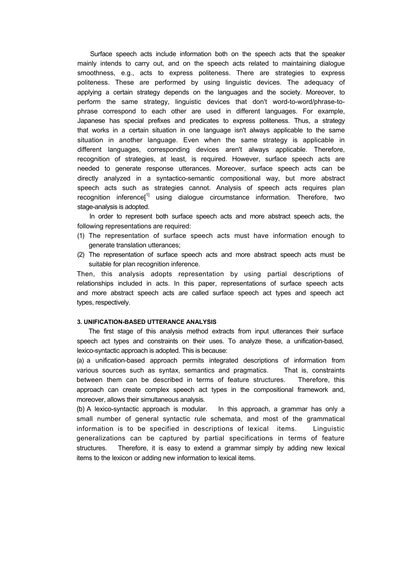Surface speech acts include information both on the speech acts that the speaker mainly intends to carry out, and on the speech acts related to maintaining dialogue smoothness, e.g., acts to express politeness. There are strategies to express politeness. These are performed by using linguistic devices. The adequacy of applying a certain strategy depends on the languages and the society. Moreover, to perform the same strategy, linguistic devices that don't word-to-word/phrase-tophrase correspond to each other are used in different languages. For example, Japanese has special prefixes and predicates to express politeness. Thus, a strategy that works in a certain situation in one language isn't always applicable to the same situation in another language. Even when the same strategy is applicable in different languages, corresponding devices aren't always applicable. Therefore, recognition of strategies, at least, is required. However, surface speech acts are needed to generate response utterances. Moreover, surface speech acts can be directly analyzed in a syntactico-semantic compositional way, but more abstract speech acts such as strategies cannot. Analysis of speech acts requires plan recognition inference $I^{1}$  using dialogue circumstance information. Therefore, two stage-analysis is adopted.

In order to represent both surface speech acts and more abstract speech acts, the following representations are required:

- (1) The representation of surface speech acts must have information enough to generate translation utterances;
- (2) The representation of surface speech acts and more abstract speech acts must be suitable for plan recognition inference.

Then, this analysis adopts representation by using partial descriptions of relationships included in acts. In this paper, representations of surface speech acts and more abstract speech acts are called surface speech act types and speech act types, respectively.

# **3. UNIFICATION-BASED UTTERANCE ANALYSIS**

The first stage of this analysis method extracts from input utterances their surface speech act types and constraints on their uses. To analyze these, a unification-based, lexico-syntactic approach is adopted. This is because:

(a) a unification-based approach permits integrated descriptions of information from various sources such as syntax, semantics and pragmatics. That is, constraints between them can be described in terms of feature structures. Therefore, this approach can create complex speech act types in the compositional framework and, moreover, allows their simultaneous analysis.

(b) A lexico-syntactic approach is modular. In this approach, a grammar has only a small number of general syntactic rule schemata, and most of the grammatical information is to be specified in descriptions of lexical items. Linguistic generalizations can be captured by partial specifications in terms of feature structures. Therefore, it is easy to extend a grammar simply by adding new lexical items to the lexicon or adding new information to lexical items.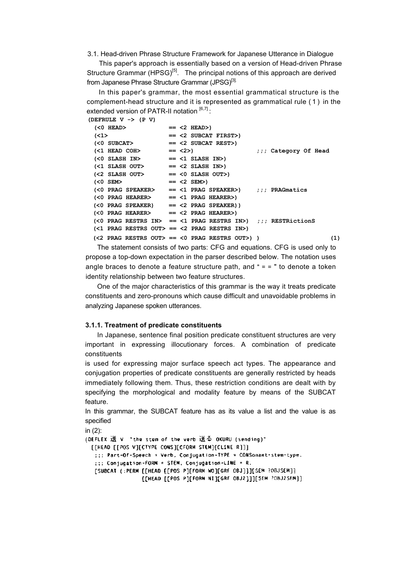3.1. Head-driven Phrase Structure Framework for Japanese Utterance in Dialogue

This paper's approach is essentially based on a version of Head-driven Phrase Structure Grammar (HPSG)<sup>[5]</sup>. The principal notions of this approach are derived from Japanese Phrase Structure Grammar (JPSG)<sup>[3].</sup>

In this paper's grammar, the most essential grammatical structure is the complement-head structure and it is represented as grammatical rule ( 1 ) in the extended version of PATR-II notation  $[6,7]$ :

```
(DEFRULE V -> (P V)
 (<0 HEAD> == <2 HEAD>)
 (<1> == <2 SUBCAT FIRST>)
                 (<0 SUBCAT> == <2 SUBCAT REST>)
 (<1 HEAD COH> == <2>) ;;; Category Of Head
 (<0 SLASH IN> == <1 SLASH IN>)
 (<1 SLASH OUT> == <2 SLASH IN>)
 (<2 SLASH OUT> == <0 SLASH OUT>)
 (<0 SEM> == <2 SEM>)
 (<0 PRAG SPEAKER> == <1 PRAG SPEAKER>) ;;; PRAGmatics
 (<0 PRAG HEARER> == <1 PRAG HEARER>)
 (<0 PRAG SPEAKER) == <2 PRAG SPEAKER))
 (<0 PRAG HEARER> == <2 PRAG HEARER>)
 (<0 PRAG RESTRS IN> == <1 PRAG RESTRS IN>) ;;; RESTRictionS
 (<1 PRAG RESTRS OUT> == <2 PRAG RESTRS IN>)
 (<2 PRAG RESTRS OUT> == <0 PRAG RESTRS OUT>) ) (1)
```
The statement consists of two parts: CFG and equations. CFG is used only to propose a top-down expectation in the parser described below. The notation uses angle braces to denote a feature structure path, and  $" = "$  to denote a token identity relationship between two feature structures.

One of the major characteristics of this grammar is the way it treats predicate constituents and zero-pronouns which cause difficult and unavoidable problems in analyzing Japanese spoken utterances.

### **3.1.1. Treatment of predicate constituents**

In Japanese, sentence final position predicate constituent structures are very important in expressing illocutionary forces. A combination of predicate constituents

is used for expressing major surface speech act types. The appearance and conjugation properties of predicate constituents are generally restricted by heads immediately following them. Thus, these restriction conditions are dealt with by specifying the morphological and modality feature by means of the SUBCAT feature.

In this grammar, the SUBCAT feature has as its value a list and the value is as specified

in (2):(DEFLEX 送 V "the stem of the verb 送る OKURU (sending)" [[HEAD [[POS V][CTYPE CONS][CFORM STEM][CLINE R]]] ::: Part-Of-Speech = Verb, Conjugation-TYPE = CONSonant-stem-type. ::: Conjugation-FORM = STEM, Conjugation-EINE = R. [SUBCAT (:PERM [[HEAD [[POS P][FORM WO][GRF OBJ]]][SEM ?OBJSEM]] [[HEAD [[POS P][FORM NI][GRF OBJ2]]][SEM ?OBJZSEM]]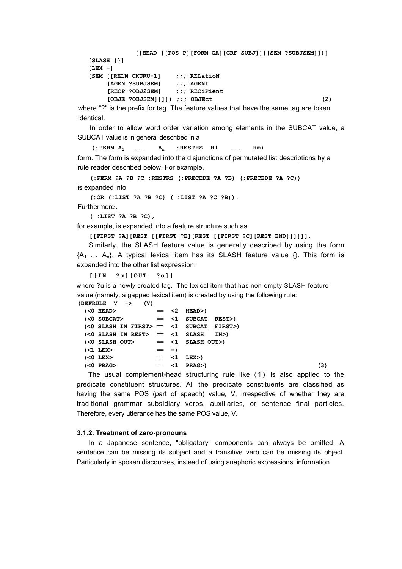```
[[HEAD [[POS P][FORM GA][GRF SUBJ]]][SEM ?SUBJSEM]])]
[SLASH {}]
[LEX +]
[SEM [[RELN OKURU-1] ;;; RELatioN
    [AGEN ?SUBJSEM] ;;; AGENt
    [RECP ?OBJ2SEM] ;;; RECiPient
    [OBJE ?OBJSEM]]]]) ;;; OBJEct (2)
```
where "?" is the prefix for tag. The feature values that have the same tag are token identical.

In order to allow word order variation among elements in the SUBCAT value, a SUBCAT value is in general described in a

 $($ :PERM  $A_1$   $\ldots$   $A_n$  :RESTRS R1  $\ldots$  Rm) form. The form is expanded into the disjunctions of permutated list descriptions by a rule reader described below. For example,

**(:PERM ?A ?B ?C :RESTRS (:PRECEDE ?A ?B) (:PRECEDE ?A ?C))** is expanded into

**(:OR (:LIST ?A ?B ?C) ( :LIST ?A ?C ?B)).**

Furthermore**,**

**( :LIST ?A ?B ?C),**

for example, is expanded into a feature structure such as

**[[FIRST ?A][REST [[FIRST ?B][REST [[FIRST ?C][REST END]]]]]].**

Similarly, the SLASH feature value is generally described by using the form  ${A_1 \ldots A_n}$ . A typical lexical item has its SLASH feature value  ${}$ . This form is expanded into the other list expression:

```
[[IN ?α][OUT ?α] ]
```
where ?α is a newly created tag. The lexical item that has non-empty SLASH feature value (namely, a gapped lexical item) is created by using the following rule:

| (DEFRULE $V \rightarrow$ (V) |                                                 |  |  |         |                                                |  |  |  |     |
|------------------------------|-------------------------------------------------|--|--|---------|------------------------------------------------|--|--|--|-----|
|                              | $\text{\tt (<0}$ HEAD>                          |  |  |         | $== < 2$ HEAD>)                                |  |  |  |     |
|                              | (<0 SUBCAT>                                     |  |  |         | $== < 1$ SUBCAT REST>)                         |  |  |  |     |
|                              |                                                 |  |  |         | $(<$ 0 SLASH IN FIRST> == $<$ 1 SUBCAT FIRST>) |  |  |  |     |
|                              |                                                 |  |  |         | $(<0$ SLASH IN REST> == $<1$ SLASH IN>)        |  |  |  |     |
|                              | $\langle$ $0$ slash $\langle$ $0$ $0$ $\rangle$ |  |  |         | $== < 1$ SLASH OUT>)                           |  |  |  |     |
|                              | $(51$ LEX $>$                                   |  |  | $=  + $ |                                                |  |  |  |     |
|                              | $< 0$ LEX $>$                                   |  |  |         | $== < 1$ LEX $>$ )                             |  |  |  |     |
|                              | $\langle 0$ PRAG>                               |  |  |         | $== < 1$ PRAG>)                                |  |  |  | (3) |

The usual complement-head structuring rule like ( 1 ) is also applied to the predicate constituent structures. All the predicate constituents are classified as having the same POS (part of speech) value, V, irrespective of whether they are traditional grammar subsidiary verbs, auxiliaries, or sentence final particles. Therefore, every utterance has the same POS value, V.

# **3.1.2. Treatment of zero-pronouns**

In a Japanese sentence, "obligatory" components can always be omitted. A sentence can be missing its subject and a transitive verb can be missing its object. Particularly in spoken discourses, instead of using anaphoric expressions, information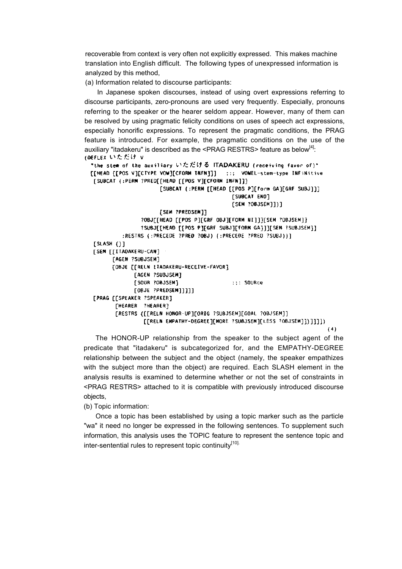recoverable from context is very often not explicitly expressed. This makes machine translation into English difficult. The following types of unexpressed information is analyzed by this method,

(a) Information related to discourse participants:

In Japanese spoken discourses, instead of using overt expressions referring to discourse participants, zero-pronouns are used very frequently. Especially, pronouns referring to the speaker or the hearer seldom appear. However, many of them can be resolved by using pragmatic felicity conditions on uses of speech act expressions, especially honorific expressions. To represent the pragmatic conditions, the PRAG feature is introduced. For example, the pragmatic conditions on the use of the auxiliary "itadakeru" is described as the  $\leq$ PRAG RESTRS> feature as below $^{[4]}$ : (DEFLEX いただけ v

```
"the stem of the auxiliary いただける ITADAKERU (receiving favor of)"
[[HEAD [[POS V][CTYPE VOW][CFORM INFN]]] ::: VOWEL-stem-type INFiNitive
[SUBCAT (:PERM ?PRED[[HEAD [[POS V][CFORM INFN]]]
                     [SUBCAT (:PERM [[HEAD [[POS P][form GA][GRF SUBJ]]]
                                            FSUBCAT ENDT
                                            [SEN ?OBJSEM]])]
                      [SEM ?PREDSEM]]
                ?OBJEFHEAD FFPOS PIFGRF OBJIFFORM NIIIIFSEM ?OBJSEM1?
                ?SUBJETHEAD FEPOS PITGRF SUBJIFFORM GAITIFSEM ?SUBJSEMIT
          :RESTRS (:PRECEDE ?PRED ?OBJ) (:PRECEDE ?PRED ?SUBJ))]
[SLASH ()][SEM [[ITADAKERU-CAN]
      [AGEN ?SUBJSEM]
      [OBJE [[RELN LTADAKERU-RECEIVE-FAVOR]
             [AGEN ?SUBJSEM]
             [SOUR ?OBJSEM]
                                            ::: SOURce
             [OBJE ?PREDSEM]]]]]
[PRAG [[SPEAKER ?SPEAKER]
       [HEARER ?HEARER]
       [RESTRS {[[RELN HONOR-UP][ORIG ?SUBJSEM][GOAL ?OBJSEM]]
                [[RELN EMPATHY-DEGREE][MORE ?SUBJSEM][LESS ?OBJSEM]]}]]]])
                                                                           (4)
```
The HONOR-UP relationship from the speaker to the subject agent of the predicate that "itadakeru" is subcategorized for, and the EMPATHY-DEGREE relationship between the subject and the object (namely, the speaker empathizes with the subject more than the object) are required. Each SLASH element in the analysis results is examined to determine whether or not the set of constraints in <PRAG RESTRS> attached to it is compatible with previously introduced discourse objects,

(b) Topic information:

Once a topic has been established by using a topic marker such as the particle "wa" it need no longer be expressed in the following sentences. To supplement such information, this analysis uses the TOPIC feature to represent the sentence topic and inter-sentential rules to represent topic continuity $[10]$ .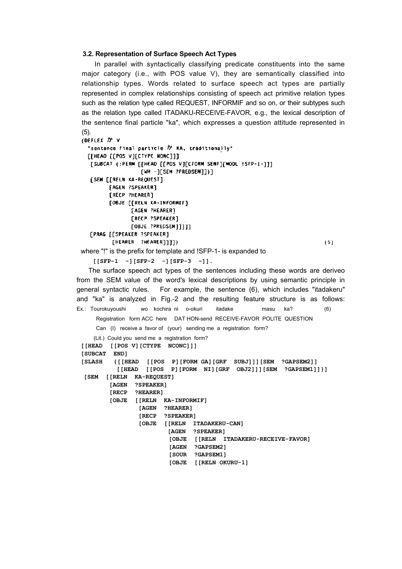# **3.2. Representation of Surface Speech Act Types**

In parallel with syntactically classifying predicate constituents into the same major category (i.e., with POS value V), they are semantically classified into relationship types. Words related to surface speech act types are partially represented in complex relationships consisting of speech act primitive relation types such as the relation type called REQUEST, INFORMIF and so on, or their subtypes such as the relation type called ITADAKU-RECEIVE-FAVOR, e.g., the lexical description of the sentence final particle "ka", which expresses a question attitude represented in (5).

```
(DEFLEX \nightharpoonup^{\bullet} V)"sentence final particle か KA, traditionally"
   [[HEAD [[POS V][CTYPE NONC]]]
    [SUBCAT (:PERM [[HEAD [[POS V][CFORM SENF][MODL !SFP-1-]]]
                   [WH -][SEM ?PREDSEM]])]
    [SEM [[RELN KA-REQUEST]
         [AGEN ?SPEAKER]
         [RECP ?HEARER]
         [OBJE [[RELN KA-INFORMIF]
                FAGEN ?HEARER]
                [RECP ?SPEAKER]
                [OBJE ?PREDSEM]]]]]
    FPRAG FESPEAKER ?SPEAKER]
          [HEARER ?HEARER]]])
                                                                           (5)where "!" is the prefix for template and !SFP-1- is expanded to
     [[SFP-l -][SFP-2 -][SFP-3 -]].
   The surface speech act types of the sentences including these words are deriveo
from the SEM value of the word's lexical descriptions by using semantic principle in
general syntactic rules. For example, the sentence (6), which includes "itadakeru"
and "ka" is analyzed in Fig.-2 and the resulting feature structure is as follows:
Ex.: Tourokuyoushi wo kochira ni o-okuri itadake masu ka? (6)
     Registration form ACC here DAT HON-send RECEIVE-FAVOR POLITE QUESTION
     Can (I) receive a favor of (your) sending me a registration form?
     (Lit.) Could you send me a registration form?
 [[HEAD [[POS V][CTYPE NCONC]]]
 [SUBCAT END]
 [SLASH {[[HEAD [[POS P][FORM GA][GRF SUBJ]]][SEM ?GAPSEM2]]
             [[HEAD [[POS P][FORM NI][GRF OBJ2]]][SEM ?GAPSEM1]]}]
  [SEM [[RELN KA-REQUEST]
           [AGEN ?SPEAKER]
           [RECP ?HEARER]
           [OBJE [[RELN KA-INFORMIF]
                   [AGEN ?HEARER]
                    [RECP ?SPEAKER]
                    [OBJE [[RELN ITADAKERU-CAN]
                            [AGEN ?SPEAKER]
                             [OBJE [[RELN ITADAKERU-RECEIVE-FAVOR]
                             [AGEN ?GAPSEM2]
                             [SOUR ?GAPSEM1]
```

```
 [OBJE [[RELN OKURU-1]
```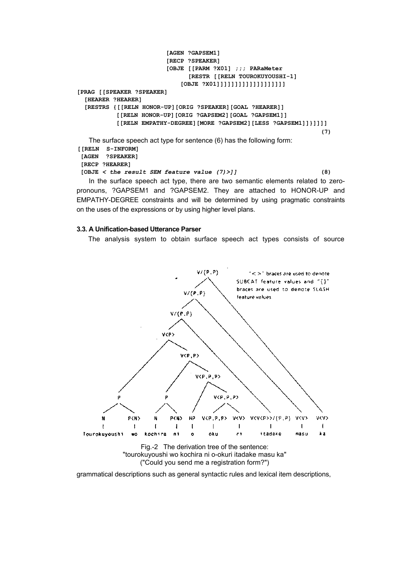```
[AGEN ?GAPSEM1]
                         [RECP ?SPEAKER]
                         [OBJE [[PARM ?X01] ;;; PARaMeter
                               [RESTR [[RELN TOUROKUYOUSHI-1]
                             [OBJE ?X01]]]]]]]]]]]]]]]]]]]
[PRAG [[SPEAKER ?SPEAKER]
   [HEARER ?HEARER]
   [RESTRS {[[RELN HONOR-UP][ORIG ?SPEAKER][GOAL ?HEARER]]
            [[RELN HONOR-UP][ORIG ?GAPSEM2][GOAL ?GAPSEM1]]
            [[RELN EMPATHY-DEGREE][MORE ?GAPSEM2][LESS ?GAPSEM1]]}]]]]
                                                                    (7)
   The surface speech act type for sentence (6) has the following form:
[[RELN S-INFORM]
 [AGEN ?SPEAKER]
 [RECP ?HEARER]
 [OBJE < the result SEM feature value (7)>]] (8)
   In the surface speech act type, there are two semantic elements related to zero-
pronouns, ?GAPSEM1 and ?GAPSEM2. They are attached to HONOR-UP and
EMPATHY-DEGREE constraints and will be determined by using pragmatic constraints
```
### **3.3. A Unification-based Utterance Parser**

on the uses of the expressions or by using higher level plans.

The analysis system to obtain surface speech act types consists of source



grammatical descriptions such as general syntactic rules and lexical item descriptions,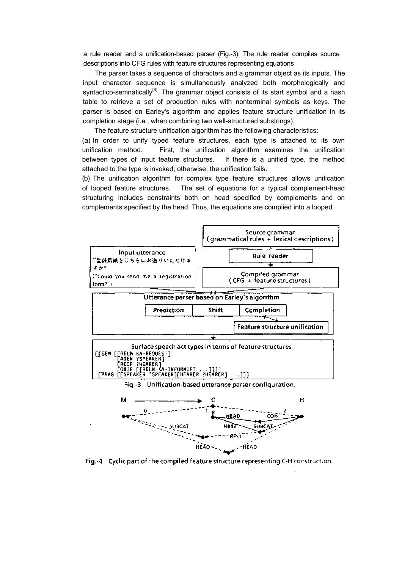a rule reader and a unification-based parser (Fig.-3). The rule reader compiles source descriptions into CFG rules with feature structures representing equations

The parser takes a sequence of characters and a grammar object as its inputs. The input character sequence is simultaneously analyzed both morphologically and syntactico-semnatically<sup>[8]</sup>. The grammar object consists of its start symbol and a hash table to retrieve a set of production rules with nonterminal symbols as keys. The parser is based on Earley's algorithm and applies feature structure unification in its completion stage (i.e., when combining two well-structured substrings).

The feature structure unification algorithm has the following characteristics: (a) In order to unify typed feature structures, each type is attached to its own unification method. First, the unification algorithm examines the unification between types of input feature structures. If there is a unified type, the method attached to the type is invoked; otherwise, the unification fails.

(b) The unification algorithm for complex type feature structures allows unification of looped feature structures. The set of equations for a typical complement-head structuring includes constraints both on head specified by complements and on complements specified by the head. Thus, the equations are complied into a looped



Fig.-4 Cyclic part of the compiled feature structure representing C-H construction.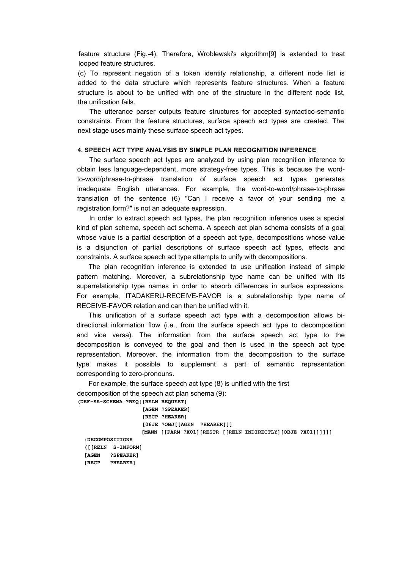feature structure (Fig.-4). Therefore, Wroblewski's algorithm[9] is extended to treat looped feature structures.

(c) To represent negation of a token identity relationship, a different node list is added to the data structure which represents feature structures. When a feature structure is about to be unified with one of the structure in the different node list, the unification fails.

The utterance parser outputs feature structures for accepted syntactico-semantic constraints. From the feature structures, surface speech act types are created. The next stage uses mainly these surface speech act types.

## **4. SPEECH ACT TYPE ANALYSIS BY SIMPLE PLAN RECOGNITION INFERENCE**

The surface speech act types are analyzed by using plan recognition inference to obtain less language-dependent, more strategy-free types. This is because the wordto-word/phrase-to-phrase translation of surface speech act types generates inadequate English utterances. For example, the word-to-word/phrase-to-phrase translation of the sentence (6) "Can I receive a favor of your sending me a registration form?" is not an adequate expression.

In order to extract speech act types, the plan recognition inference uses a special kind of plan schema, speech act schema. A speech act plan schema consists of a goal whose value is a partial description of a speech act type, decompositions whose value is a disjunction of partial descriptions of surface speech act types, effects and constraints. A surface speech act type attempts to unify with decompositions.

The plan recognition inference is extended to use unification instead of simple pattern matching. Moreover, a subrelationship type name can be unified with its superrelationship type names in order to absorb differences in surface expressions. For example, ITADAKERU-RECEIVE-FAVOR is a subrelationship type name of RECEIVE-FAVOR relation and can then be unified with it.

This unification of a surface speech act type with a decomposition allows bidirectional information flow (i.e., from the surface speech act type to decomposition and vice versa). The information from the surface speech act type to the decomposition is conveyed to the goal and then is used in the speech act type representation. Moreover, the information from the decomposition to the surface type makes it possible to supplement a part of semantic representation corresponding to zero-pronouns.

For example, the surface speech act type (8) is unified with the first decomposition of the speech act plan schema (9): **(DEF-SA-SCHEMA ?REQ[[RELN REQUEST]**

 **[AGEN ?SPEAKER] [RECP ?HEARER] [06JE ?OBJ[[AGEN ?HEARER]]] [MANN [[PARM ?X01][RESTR [[RELN INDIRECTLY][OBJE ?X01]]]]]]**

**:DECOMPOSITIONS ([[RELN S-INFORM] [AGEN ?SPEAKER] [RECP ?HEARER]**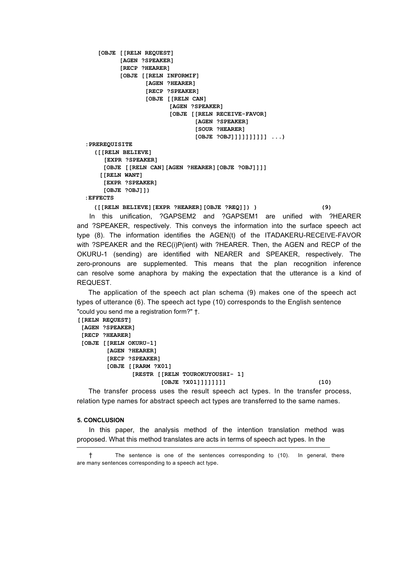```
[OBJE [[RELN REQUEST]
          [AGEN ?SPEAKER]
          [RECP ?HEARER]
          [OBJE [[RELN INFORMIF]
                   [AGEN ?HEARER]
                   [RECP ?SPEAKER]
                   [OBJE [[RELN CAN]
                          [AGEN ?SPEAKER]
                          [OBJE [[RELN RECEIVE-FAVOR]
                                 [AGEN ?SPEAKER]
                                 [SOUR ?HEARER]
                                 [OBJE ?OBJ]]]]]]]]]] ...)
:PREREQUISITE
  ([[RELN BELIEVE]
      [EXPR ?SPEAKER]
      [OBJE [[RELN CAN][AGEN ?HEARER][OBJE ?OBJ]]]]
     [[RELN WANT]
      [EXPR ?SPEAKER]
      [OBJE ?OBJ]])
:EFFECTS
```
**([[RELN BELIEVE][EXPR ?HEARER][OBJE ?REQ]]) ) (9)**

In this unification, ?GAPSEM2 and ?GAPSEM1 are unified with ?HEARER and ?SPEAKER, respectively. This conveys the information into the surface speech act type (8). The information identifies the AGEN(t) of the ITADAKERU-RECEIVE-FAVOR with ?SPEAKER and the REC(i)P(ient) with ?HEARER. Then, the AGEN and RECP of the OKURU-1 (sending) are identified with NEARER and SPEAKER, respectively. The zero-pronouns are supplemented. This means that the plan recognition inference can resolve some anaphora by making the expectation that the utterance is a kind of REQUEST.

The application of the speech act plan schema (9) makes one of the speech act types of utterance (6). The speech act type (10) corresponds to the English sentence "could you send me a registration form?" †.

```
[[RELN REQUEST]
 [AGEN ?SPEAKER]
 [RECP ?HEARER]
 [OBJE [[RELN OKURU-1]
        [AGEN ?HEARER]
        [RECP ?SPEAKER]
        [OBJE [[RARM ?X01]
               [RESTR [[RELN TOUROKUYOUSHI- 1]
                      [OBJE ?X01]]]]]]]] (10)
```
The transfer process uses the result speech act types. In the transfer process, relation type names for abstract speech act types are transferred to the same names.

### **5. CONCLUSION**

In this paper, the analysis method of the intention translation method was proposed. What this method translates are acts in terms of speech act types. In the

<sup>†</sup> The sentence is one of the sentences corresponding to (10). In general, there are many sentences corresponding to a speech act type.